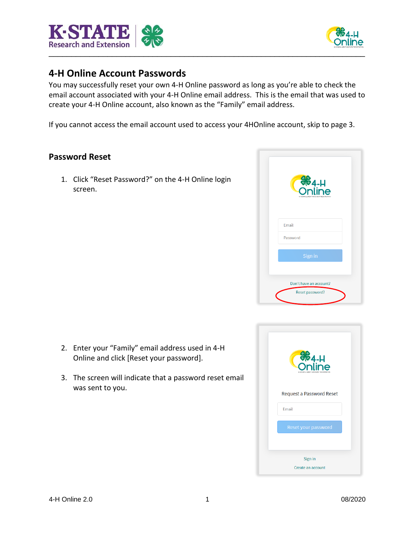



## **4-H Online Account Passwords**

You may successfully reset your own 4-H Online password as long as you're able to check the email account associated with your 4-H Online email address. This is the email that was used to create your 4-H Online account, also known as the "Family" email address.

If you cannot access the email account used to access your 4HOnline account, skip to page 3.

## **Password Reset**

1. Click "Reset Password?" on the 4-H Online login screen.



- 2. Enter your "Family" email address used in 4-H Online and click [Reset your password].
- 3. The screen will indicate that a password reset email was sent to you.

| <b>S</b> <sub>4-H</sub><br>Online |
|-----------------------------------|
| Request a Password Reset          |
| <b>Fmail</b>                      |
| Reset your password               |
|                                   |
| Sign in                           |
| Create an account                 |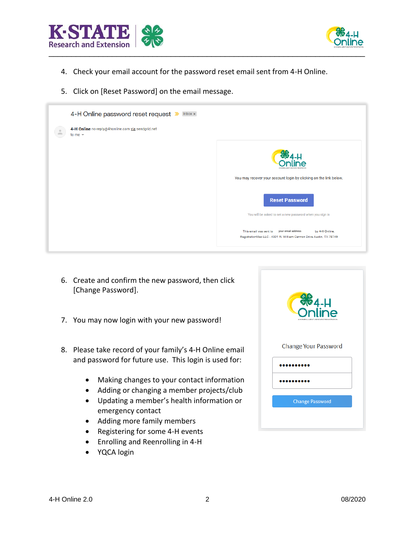



- 4. Check your email account for the password reset email sent from 4-H Online.
- 5. Click on [Reset Password] on the email message.



- 6. Create and confirm the new password, then click [Change Password].
- 7. You may now login with your new password!
- 8. Please take record of your family's 4-H Online email and password for future use. This login is used for:
	- Making changes to your contact information
	- Adding or changing a member projects/club
	- Updating a member's health information or emergency contact
	- Adding more family members
	- Registering for some 4-H events
	- Enrolling and Reenrolling in 4-H
	- YQCA login

| <b>8</b> 4-H<br>4-H ENROLL MENT AND EVENT REGISTRATION |
|--------------------------------------------------------|
| Change Your Password                                   |
| ,,,,,,,                                                |
|                                                        |
| <b>Change Password</b>                                 |